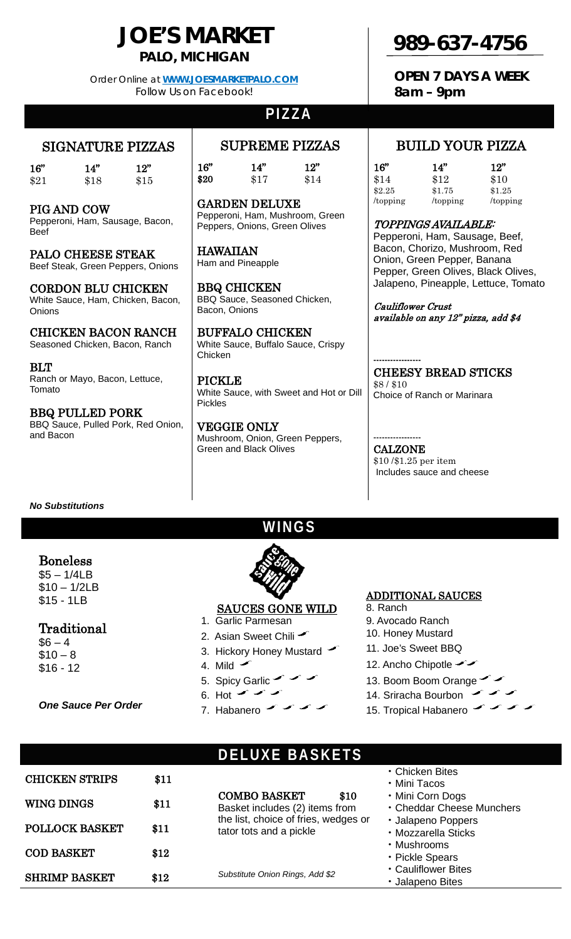# **989-637-4756 JOE'S MARKET**

**PALO, MICHIGAN**

Order Online at **[WWW.JOESMARKETPALO.COM](http://www.joesmarketpalo.com/)** *Follow Us on Facebook!*

## **PIZZA**

### SIGNATURE PIZZAS

| 16"  | 14"  | 12"  |
|------|------|------|
| \$21 | \$18 | \$15 |

PIG AND COW Pepperoni, Ham, Sausage, Bacon, Beef

PALO CHEESE STEAK Beef Steak, Green Peppers, Onions

CORDON BLU CHICKEN White Sauce, Ham, Chicken, Bacon, **Onions** 

CHICKEN BACON RANCH Seasoned Chicken, Bacon, Ranch

**BLT** Ranch or Mayo, Bacon, Lettuce, Tomato

BBQ PULLED PORK BBQ Sauce, Pulled Pork, Red Onion, and Bacon

### SUPREME PIZZAS

| 16"  | 14"  | 12"  |
|------|------|------|
| \$20 | \$17 | \$14 |

GARDEN DELUXE Pepperoni, Ham, Mushroom, Green Peppers, Onions, Green Olives

HAWAIIAN Ham and Pineapple

BBQ CHICKEN BBQ Sauce, Seasoned Chicken, Bacon, Onions

BUFFALO CHICKEN White Sauce, Buffalo Sauce, Crispy Chicken

PICKLE White Sauce, with Sweet and Hot or Dill Pickles

VEGGIE ONLY Mushroom, Onion, Green Peppers, Green and Black Olives

### BUILD YOUR PIZZA

| 16"      | 14"      | 12"      |
|----------|----------|----------|
| \$14     | \$12     | \$10     |
| \$2.25   | \$1.75   | \$1.25   |
| /topping | /topping | /topping |

### TOPPINGS AVAILABLE:

Pepperoni, Ham, Sausage, Beef, Bacon, Chorizo, Mushroom, Red Onion, Green Pepper, Banana Pepper, Green Olives, Black Olives, Jalapeno, Pineapple, Lettuce, Tomato

Cauliflower Crust available on any 12" pizza, add \$4

----------------- CHEESY BREAD STICKS \$8 / \$10 Choice of Ranch or Marinara

----------------- **CALZONE** \$10 /\$1.25 per item Includes sauce and cheese

#### *No Substitutions*

### Boneless

 $$5 - 1/4LB$  $$10 - 1/2LB$ \$15 - 1LB

### Traditional

 $$6 - 4$  $$10 - 8$ \$16 - 12

*One Sauce Per Order*

# **WINGS**



# **SAUCES GONE WILD** 8. Ranch<br>1. Garlic Parmesan 9. Avocac

- 
- 
- 3. Hickory Honey Mustard 11. Joe's Sweet BBQ
- 
- 
- 
- 

### ADDITIONAL SAUCES

- 
- 9. Avocado Ranch
- 2. Asian Sweet Chili  $\sim$  10. Honey Mustard
	-
- 4. Mild  $\rightarrow$  12. Ancho Chipotle  $\rightarrow$ 
	-
- 5. Spicy Garlic  $\rightarrow$   $\rightarrow$  13. Boom Boom Orange  $\rightarrow$   $\rightarrow$  6. Hot  $\rightarrow$   $\rightarrow$   $\rightarrow$  14. Sriracha Bourbon 14. Sriracha Bourbon  $\rightarrow$
- 7. Habanero  $\sim$   $\sim$   $\sim$   $\sim$   $\sim$  15. Tropical Habanero  $\sim$   $\sim$   $\sim$   $\sim$

|                       |      | PLLVAL PROILLIV                                                 |                                               |
|-----------------------|------|-----------------------------------------------------------------|-----------------------------------------------|
| <b>CHICKEN STRIPS</b> | \$11 |                                                                 | • Chicken Bites<br>• Mini Tacos               |
| <b>WING DINGS</b>     | \$11 | <b>COMBO BASKET</b><br>\$10<br>Basket includes (2) items from   | • Mini Corn Dogs<br>• Cheddar Cheese Munchers |
| <b>POLLOCK BASKET</b> | \$11 | the list, choice of fries, wedges or<br>tator tots and a pickle | • Jalapeno Poppers<br>· Mozzarella Sticks     |
| <b>COD BASKET</b>     | \$12 |                                                                 | • Mushrooms<br>• Pickle Spears                |
| <b>SHRIMP BASKET</b>  | \$12 | Substitute Onion Rings, Add \$2                                 | • Cauliflower Bites<br>. Iolanana Ditoo       |

**DELUXE BASKETS**

• Jalapeno Bites

### **OPEN 7 DAYS A WEEK 8am – 9pm**